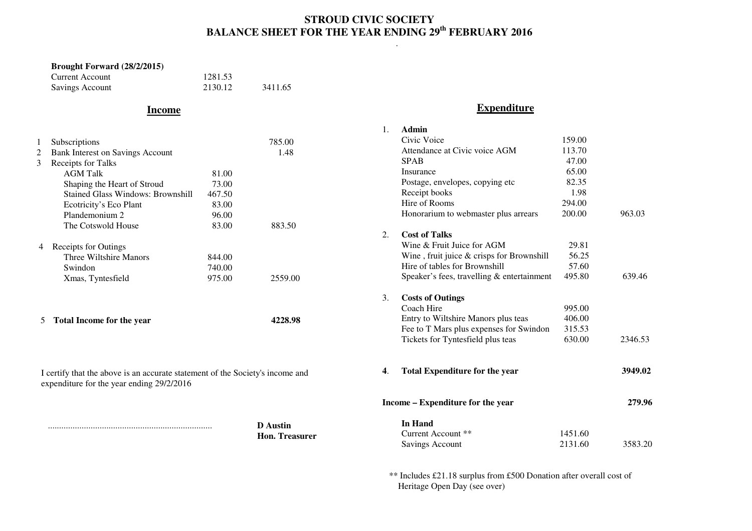## **STROUD CIVIC SOCIETY BALANCE SHEET FOR THE YEAR ENDING 29th FEBRUARY 2016**

.

#### **Brought Forward (28/2/2015)** Current Account 1281.53 Savings Account 2130.12 3411.65

## **Income**

1

#### Subscriptions 785.00<br>Bank Interest on Savings Account 1.48 2 Bank Interest on Savings Account 3 Receipts for Talks AGM Talk 81.00 73.00 Shaping the Heart of Stroud Stained Glass Windows: Brownshill 467.50 83.00 Ecotricity's Eco Plant 96.00 Plandemonium 2 83.00 The Cotswold House 83.00 883.50 4 Receipts for Outings Three Wiltshire Manors 844.00 Swindon 740.00 975.00 Xmas, Tyntesfield 975.00 2559.00

I certify that the above is an accurate statement of the Society's income and

5 **Total Income for the year 4228.98** 

expenditure for the year ending 29/2/2016

 ......................................................................... **D Austin Hon. Treasurer** 

### **Expenditure**

| 1. | Admin                                      |         |         |
|----|--------------------------------------------|---------|---------|
|    | Civic Voice                                | 159.00  |         |
|    | Attendance at Civic voice AGM              | 113.70  |         |
|    | <b>SPAB</b>                                | 47.00   |         |
|    | Insurance                                  | 65.00   |         |
|    | Postage, envelopes, copying etc            | 82.35   |         |
|    | Receipt books                              | 1.98    |         |
|    | Hire of Rooms                              | 294.00  |         |
|    | Honorarium to webmaster plus arrears       | 200.00  | 963.03  |
| 2. | <b>Cost of Talks</b>                       |         |         |
|    | Wine & Fruit Juice for AGM                 | 29.81   |         |
|    | Wine, fruit juice & crisps for Brownshill  | 56.25   |         |
|    | Hire of tables for Brownshill              | 57.60   |         |
|    | Speaker's fees, travelling & entertainment | 495.80  | 639.46  |
| 3. | <b>Costs of Outings</b>                    |         |         |
|    | Coach Hire                                 | 995.00  |         |
|    | Entry to Wiltshire Manors plus teas        | 406.00  |         |
|    | Fee to T Mars plus expenses for Swindon    | 315.53  |         |
|    | Tickets for Tyntesfield plus teas          | 630.00  | 2346.53 |
| 4. | <b>Total Expenditure for the year</b>      |         | 3949.02 |
|    | Income – Expenditure for the year          |         | 279.96  |
|    | <b>In Hand</b>                             |         |         |
|    | Current Account **                         | 1451.60 |         |
|    | <b>Savings Account</b>                     | 2131.60 | 3583.20 |

 \*\* Includes £21.18 surplus from £500 Donation after overall cost of Heritage Open Day (see over)